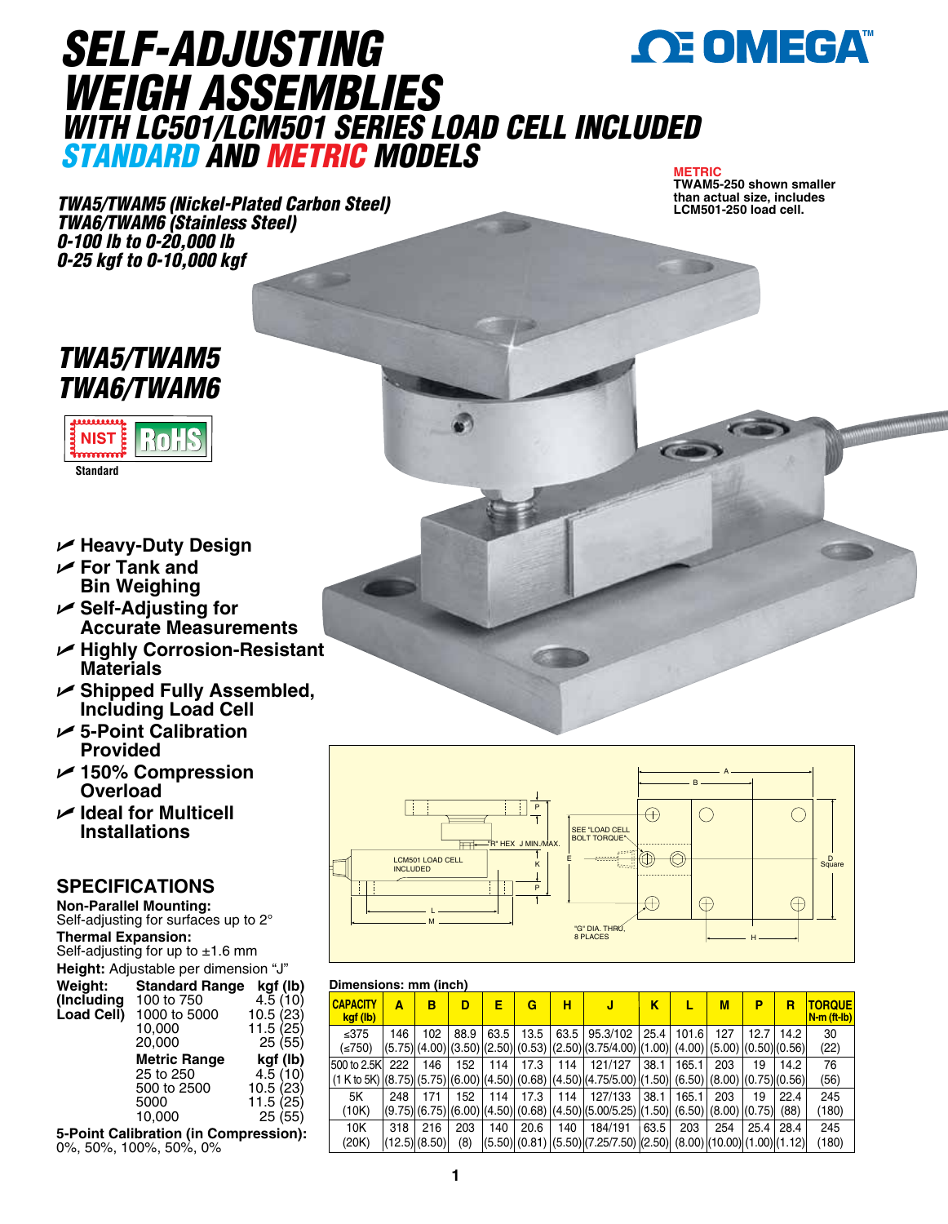

## *SELF-ADJUSTING WEIGH ASSEMBLIES WITH LC501/LCM501 SERIES LOAD CELL INCLUDED STANDARD AND METRIC MODELS*

#### **METRIC**

*TWA5/TWAM5 (Nickel-Plated Carbon Steel) TWA6/TWAM6 (Stainless Steel) 0-100 lb to 0-20,000 lb 0-25 kgf to 0-10,000 kgf*

**TWAM5-250 shown smaller than actual size, includes LCM501-250 load cell.** 

## *TWA5/TWAM5 TWA6/TWAM6*



**Standard**

- U **Heavy-Duty Design**
- U **For Tank and Bin Weighing**
- U **Self-Adjusting for Accurate Measurements**
- U **Highly Corrosion-Resistant Materials**
- U **Shipped Fully Assembled, Including Load Cell**
- U **5-Point Calibration Provided**
- U **150% Compression Overload**
- U **Ideal for Multicell Installations**

### **SPECIFICATIONS**

**Non-Parallel Mounting:** Self-adjusting for surfaces up to 2° **Thermal Expansion:** Self-adjusting for up to  $\pm 1.6$  mm **Height:** Adjustable per dimension "J"<br>**Weight: Standard Range kgf (I Standard Range kgf (lb)**<br>100 to 750 4.5 (10) **(Including** 100 to 750  $\left( \begin{array}{cc} 4.5 & (10) \\ -2 & 4.5 & (23) \end{array} \right)$ 1000 to 5000<br>10.000 10,000 11.5 (25)  $25(55)$ **Metric Range <b>kgf (lb)**<br>25 to 250 4.5 (10) 25 to 250 4.5 (10)<br>500 to 2500 10.5 (23) 500 to 2500 5000 11.5 (25) 10,000 25 (55)

**5-Point Calibration (in Compression):** 0%, 50%, 100%, 50%, 0%



#### **Dimensions: mm (inch)**

| <b>CAPACITY</b><br>kgf (lb) | Α   | в                        | D          | Е    | G    | н   | J                                                                                                               | κ    | L     | M                                           | P    | R            | <b>TORQUE</b><br>N-m (ft-lb) |
|-----------------------------|-----|--------------------------|------------|------|------|-----|-----------------------------------------------------------------------------------------------------------------|------|-------|---------------------------------------------|------|--------------|------------------------------|
| ≤ $375$<br>≤750)            | 146 | 102                      | 88.9       | 63.5 | 13.5 |     | 63.5 95.3/102<br>$(5.75)(4.00)(3.50)(2.50)(0.53)(2.50)(3.75/4.00)(1.00)(4.00)(5.00)(0.50)(0.56)$                | 25.4 | 101.6 | 127                                         | 12.7 | 14.2         | 30<br>(22)                   |
| 500 to 2.5Kl                | 222 | 146                      | 152        | 114  | 17.3 | 114 | 121/127<br>$(1 K to 5K)$ $[(8.75)$ $(5.75)$ $[(6.00)$ $[(4.50)$ $(0.68)$ $[(4.50)$ $[(4.75/5.00)$ $[(1.50)$ $]$ | 38.1 | 165.1 | 203<br>(6.50)(8.00)(0.75)(0.56)             | 19   | 14.2         | 76<br>(56)                   |
| 5K<br>(10K)                 | 248 | 171                      | 152        | 114  | 17.3 | 114 | 127/133<br>$(9.75)(6.75)(6.00)(4.50)(0.68)(4.50)(5.00/5.25)(1.50)$                                              | 38.1 | 165.1 | 203<br>$(6.50)$ $(8.00)$ $(0.75)$           | 19   | 22.4<br>(88) | 245<br>(180)                 |
| 10K<br>(20K)                | 318 | 216<br>$(12.5)$ $(8.50)$ | 203<br>(8) | 140  | 20.6 | 140 | 184/191<br>(5.50)(0.81)(5.50)(7.25/7.50)(2.50)                                                                  | 63.5 | 203   | 254<br>$(8.00)$ $(10.00)$ $(1.00)$ $(1.12)$ | 25.4 | 28.4         | 245<br>(180)                 |